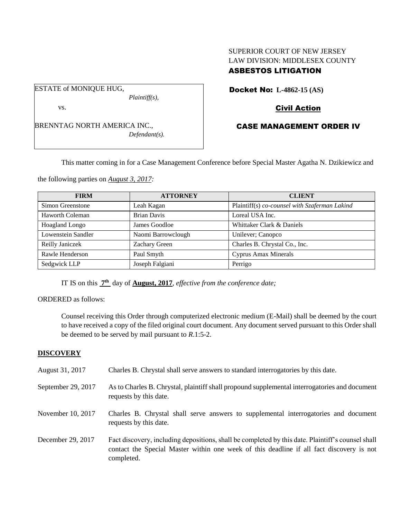## SUPERIOR COURT OF NEW JERSEY LAW DIVISION: MIDDLESEX COUNTY ASBESTOS LITIGATION

ESTATE of MONIQUE HUG, *Plaintiff(s),*

vs.

BRENNTAG NORTH AMERICA INC., *Defendant(s).* Docket No: **L-4862-15 (AS)** 

# Civil Action

# CASE MANAGEMENT ORDER IV

This matter coming in for a Case Management Conference before Special Master Agatha N. Dzikiewicz and

the following parties on *August 3, 2017:*

| <b>FIRM</b>        | <b>ATTORNEY</b>    | <b>CLIENT</b>                                 |
|--------------------|--------------------|-----------------------------------------------|
| Simon Greenstone   | Leah Kagan         | Plaintiff(s) co-counsel with Szaferman Lakind |
| Haworth Coleman    | <b>Brian Davis</b> | Loreal USA Inc.                               |
| Hoagland Longo     | James Goodloe      | Whittaker Clark & Daniels                     |
| Lowenstein Sandler | Naomi Barrowclough | Unilever; Canopco                             |
| Reilly Janiczek    | Zachary Green      | Charles B. Chrystal Co., Inc.                 |
| Rawle Henderson    | Paul Smyth         | <b>Cyprus Amax Minerals</b>                   |
| Sedgwick LLP       | Joseph Falgiani    | Perrigo                                       |

IT IS on this **7 th** day of **August, 2017**, *effective from the conference date;*

### ORDERED as follows:

Counsel receiving this Order through computerized electronic medium (E-Mail) shall be deemed by the court to have received a copy of the filed original court document. Any document served pursuant to this Order shall be deemed to be served by mail pursuant to *R*.1:5-2.

# **DISCOVERY**

August 31, 2017 Charles B. Chrystal shall serve answers to standard interrogatories by this date. September 29, 2017 As to Charles B. Chrystal, plaintiff shall propound supplemental interrogatories and document requests by this date. November 10, 2017 Charles B. Chrystal shall serve answers to supplemental interrogatories and document requests by this date. December 29, 2017 Fact discovery, including depositions, shall be completed by this date. Plaintiff's counsel shall contact the Special Master within one week of this deadline if all fact discovery is not completed.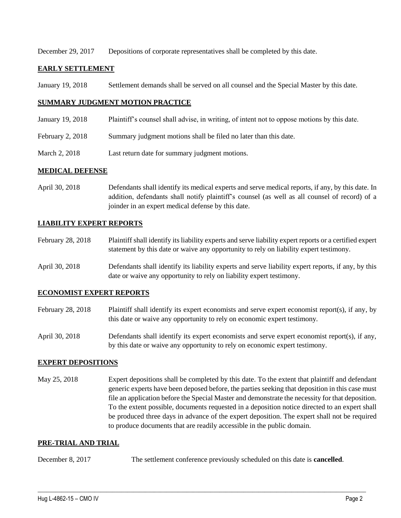December 29, 2017 Depositions of corporate representatives shall be completed by this date.

### **EARLY SETTLEMENT**

January 19, 2018 Settlement demands shall be served on all counsel and the Special Master by this date.

### **SUMMARY JUDGMENT MOTION PRACTICE**

- January 19, 2018 Plaintiff's counsel shall advise, in writing, of intent not to oppose motions by this date.
- February 2, 2018 Summary judgment motions shall be filed no later than this date.
- March 2, 2018 Last return date for summary judgment motions.

#### **MEDICAL DEFENSE**

April 30, 2018 Defendants shall identify its medical experts and serve medical reports, if any, by this date. In addition, defendants shall notify plaintiff's counsel (as well as all counsel of record) of a joinder in an expert medical defense by this date.

## **LIABILITY EXPERT REPORTS**

- February 28, 2018 Plaintiff shall identify its liability experts and serve liability expert reports or a certified expert statement by this date or waive any opportunity to rely on liability expert testimony.
- April 30, 2018 Defendants shall identify its liability experts and serve liability expert reports, if any, by this date or waive any opportunity to rely on liability expert testimony.

#### **ECONOMIST EXPERT REPORTS**

- February 28, 2018 Plaintiff shall identify its expert economists and serve expert economist report(s), if any, by this date or waive any opportunity to rely on economic expert testimony.
- April 30, 2018 Defendants shall identify its expert economists and serve expert economist report(s), if any, by this date or waive any opportunity to rely on economic expert testimony.

#### **EXPERT DEPOSITIONS**

May 25, 2018 Expert depositions shall be completed by this date. To the extent that plaintiff and defendant generic experts have been deposed before, the parties seeking that deposition in this case must file an application before the Special Master and demonstrate the necessity for that deposition. To the extent possible, documents requested in a deposition notice directed to an expert shall be produced three days in advance of the expert deposition. The expert shall not be required to produce documents that are readily accessible in the public domain.

#### **PRE-TRIAL AND TRIAL**

December 8, 2017 The settlement conference previously scheduled on this date is **cancelled**.

 $\_$  ,  $\_$  ,  $\_$  ,  $\_$  ,  $\_$  ,  $\_$  ,  $\_$  ,  $\_$  ,  $\_$  ,  $\_$  ,  $\_$  ,  $\_$  ,  $\_$  ,  $\_$  ,  $\_$  ,  $\_$  ,  $\_$  ,  $\_$  ,  $\_$  ,  $\_$  ,  $\_$  ,  $\_$  ,  $\_$  ,  $\_$  ,  $\_$  ,  $\_$  ,  $\_$  ,  $\_$  ,  $\_$  ,  $\_$  ,  $\_$  ,  $\_$  ,  $\_$  ,  $\_$  ,  $\_$  ,  $\_$  ,  $\_$  ,